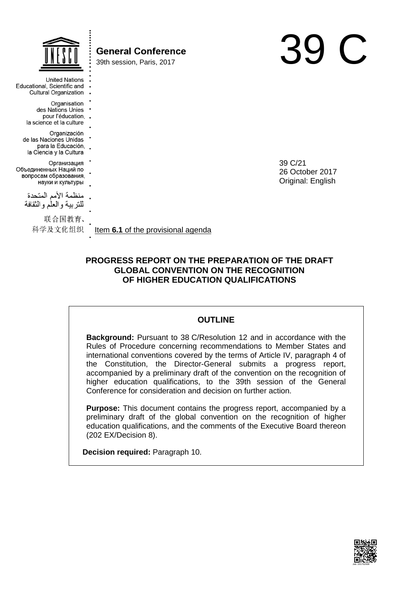|                                                                                           | <b>General Conference</b><br>39th session, Paris, 2017 |                                                 |  |
|-------------------------------------------------------------------------------------------|--------------------------------------------------------|-------------------------------------------------|--|
| <b>United Nations</b><br>Educational, Scientific and<br><b>Cultural Organization</b>      |                                                        |                                                 |  |
| Organisation<br>des Nations Unies<br>pour l'éducation,.<br>la science et la culture       |                                                        |                                                 |  |
| Organización<br>de las Naciones Unidas<br>para la Educación, .<br>la Ciencia y la Cultura |                                                        |                                                 |  |
| Организация<br>Объединенных Наций по<br>вопросам образования,<br>науки и культуры         |                                                        | 39 C/21<br>26 October 2017<br>Original: English |  |
| منظمة الأمم المتحدة<br>للنربية والعلم والثقافة                                            |                                                        |                                                 |  |
| 联合国教育、<br>科学及文化组织                                                                         | Item 6.1 of the provisional agenda                     |                                                 |  |

# **PROGRESS REPORT ON THE PREPARATION OF THE DRAFT GLOBAL CONVENTION ON THE RECOGNITION OF HIGHER EDUCATION QUALIFICATIONS**

# **OUTLINE**

**Background:** Pursuant to 38 C/Resolution 12 and in accordance with the Rules of Procedure concerning recommendations to Member States and international conventions covered by the terms of Article IV, paragraph 4 of the Constitution, the Director-General submits a progress report, accompanied by a preliminary draft of the convention on the recognition of higher education qualifications, to the 39th session of the General Conference for consideration and decision on further action.

**Purpose:** This document contains the progress report, accompanied by a preliminary draft of the global convention on the recognition of higher education qualifications, and the comments of the Executive Board thereon (202 EX/Decision 8).

**Decision required:** Paragraph 10.

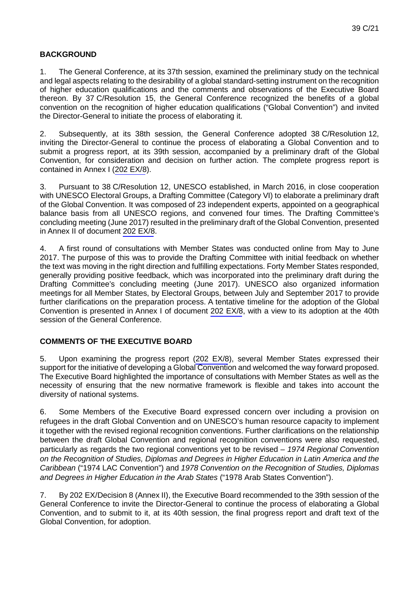# **BACKGROUND**

1. The General Conference, at its 37th session, examined the preliminary study on the technical and legal aspects relating to the desirability of a global standard-setting instrument on the recognition of higher education qualifications and the comments and observations of the Executive Board thereon. By 37 C/Resolution 15, the General Conference recognized the benefits of a global convention on the recognition of higher education qualifications ("Global Convention") and invited the Director-General to initiate the process of elaborating it.

2. Subsequently, at its 38th session, the General Conference adopted 38 C/Resolution 12, inviting the Director-General to continue the process of elaborating a Global Convention and to submit a progress report, at its 39th session, accompanied by a preliminary draft of the Global Convention, for consideration and decision on further action. The complete progress report is contained in Annex I (202 EX/8).

3. Pursuant to 38 C/Resolution 12, UNESCO established, in March 2016, in close cooperation with UNESCO Electoral Groups, a Drafting Committee (Category VI) to elaborate a preliminary draft of the Global Convention. It was composed of 23 independent experts, appointed on a geographical balance basis from all UNESCO regions, and convened four times. The Drafting Committee's concluding meeting (June 2017) resulted in the preliminary draft of the Global Convention, presented in Annex II of document 202 EX/8.

4. A first round of consultations with Member States was conducted online from May to June 2017. The purpose of this was to provide the Drafting Committee with initial feedback on whether the text was moving in the right direction and fulfilling expectations. Forty Member States responded, generally providing positive feedback, which was incorporated into the preliminary draft during the Drafting Committee's concluding meeting (June 2017). UNESCO also organized information meetings for all Member States, by Electoral Groups, between July and September 2017 to provide further clarifications on the preparation process. A tentative timeline for the adoption of the Global Convention is presented in Annex I of document 202 EX/8, with a view to its adoption at the 40th session of the General Conference.

# **COMMENTS OF THE EXECUTIVE BOARD**

5. Upon examining the progress report (202 EX/8), several Member States expressed their support for the initiative of developing a Global Convention and welcomed the way forward proposed. The Executive Board highlighted the importance of consultations with Member States as well as the necessity of ensuring that the new normative framework is flexible and takes into account the diversity of national systems.

6. Some Members of the Executive Board expressed concern over including a provision on refugees in the draft Global Convention and on UNESCO's human resource capacity to implement it together with the revised regional recognition conventions. Further clarifications on the relationship between the draft Global Convention and regional recognition conventions were also requested, particularly as regards the two regional conventions yet to be revised – *1974 Regional Convention on the Recognition of Studies, Diplomas and Degrees in Higher Education in Latin America and the Caribbean* ("1974 LAC Convention") and *1978 Convention on the Recognition of Studies, Diplomas and Degrees in Higher Education in the Arab States* ("1978 Arab States Convention").

7. By 202 EX/Decision 8 (Annex II), the Executive Board recommended to the 39th session of the General Conference to invite the Director-General to continue the process of elaborating a Global Convention, and to submit to it, at its 40th session, the final progress report and draft text of the Global Convention, for adoption.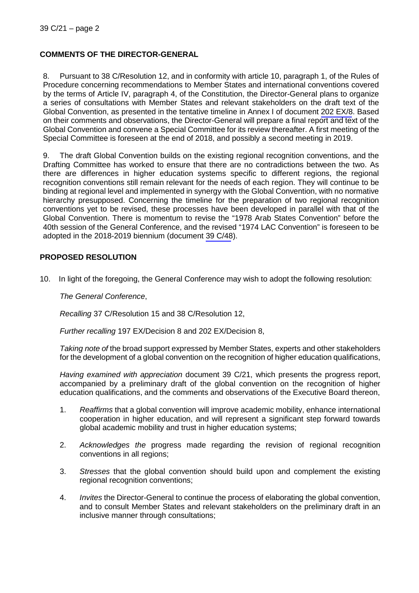# **COMMENTS OF THE DIRECTOR-GENERAL**

8. Pursuant to 38 C/Resolution 12, and in conformity with article 10, paragraph 1, of the Rules of Procedure concerning recommendations to Member States and international conventions covered by the terms of Article IV, paragraph 4, of the Constitution, the Director-General plans to organize a series of consultations with Member States and relevant stakeholders on the draft text of the Global Convention, as presented in the tentative timeline in Annex I of document 202 EX/8. Based on their comments and observations, the Director-General will prepare a final report and text of the Global Convention and convene a Special Committee for its review thereafter. A first meeting of the Special Committee is foreseen at the end of 2018, and possibly a second meeting in 2019.

9. The draft Global Convention builds on the existing regional recognition conventions, and the Drafting Committee has worked to ensure that there are no contradictions between the two. As there are differences in higher education systems specific to different regions, the regional recognition conventions still remain relevant for the needs of each region. They will continue to be binding at regional level and implemented in synergy with the Global Convention, with no normative hierarchy presupposed. Concerning the timeline for the preparation of two regional recognition conventions yet to be revised, these processes have been developed in parallel with that of the Global Convention. There is momentum to revise the "1978 Arab States Convention" before the 40th session of the General Conference, and the revised "1974 LAC Convention" is foreseen to be adopted in the 2018-2019 biennium (document 39 C/48).

# **PROPOSED RESOLUTION**

10. In light of the foregoing, the General Conference may wish to adopt the following resolution:

*The General Conference*,

*Recalling* 37 C/Resolution 15 and 38 C/Resolution 12,

*Further recalling* 197 EX/Decision 8 and 202 EX/Decision 8,

*Taking note of* the broad support expressed by Member States, experts and other stakeholders for the development of a global convention on the recognition of higher education qualifications,

*Having examined with appreciation* document 39 C/21, which presents the progress report, accompanied by a preliminary draft of the global convention on the recognition of higher education qualifications, and the comments and observations of the Executive Board thereon,

- 1. *Reaffirms* that a global convention will improve academic mobility, enhance international cooperation in higher education, and will represent a significant step forward towards global academic mobility and trust in higher education systems;
- 2. *Acknowledges the* progress made regarding the revision of regional recognition conventions in all regions;
- 3. *Stresses* that the global convention should build upon and complement the existing regional recognition conventions;
- 4. *Invites* the Director-General to continue the process of elaborating the global convention, and to consult Member States and relevant stakeholders on the preliminary draft in an inclusive manner through consultations;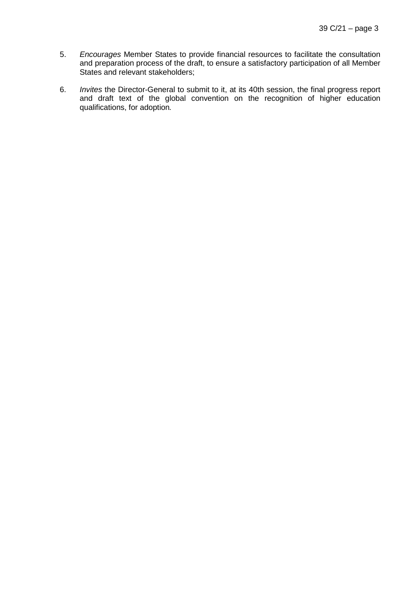- 5. *Encourages* Member States to provide financial resources to facilitate the consultation and preparation process of the draft, to ensure a satisfactory participation of all Member States and relevant stakeholders;
- 6. *Invites* the Director-General to submit to it, at its 40th session, the final progress report and draft text of the global convention on the recognition of higher education qualifications, for adoption*.*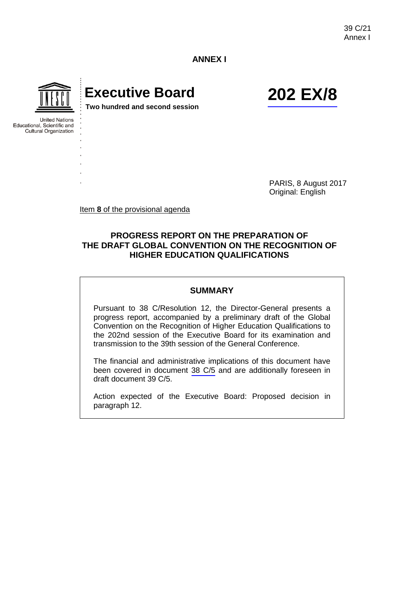39 C/21 Annex I

**ANNEX I**



**United Nations** Educational, Scientific and Cultural Organization

# **Executive Board 202 EX/8**

**Two hundred and second session**

PARIS, 8 August 2017 Original: English

Item **8** of the provisional agenda

# **PROGRESS REPORT ON THE PREPARATION OF THE DRAFT GLOBAL CONVENTION ON THE RECOGNITION OF HIGHER EDUCATION QUALIFICATIONS**

#### **SUMMARY**

Pursuant to 38 C/Resolution 12, the Director-General presents a progress report, accompanied by a preliminary draft of the Global Convention on the Recognition of Higher Education Qualifications to the 202nd session of the Executive Board for its examination and transmission to the 39th session of the General Conference.

The financial and administrative implications of this document have been covered in document 38 C/5 and are additionally foreseen in draft document 39 C/5.

Action expected of the Executive Board: Proposed decision in paragraph 12.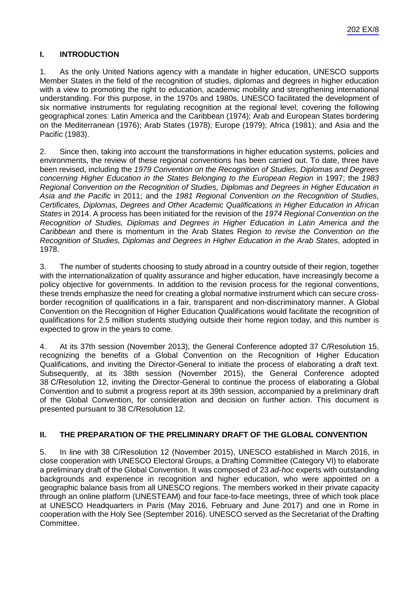# **I. INTRODUCTION**

1. As the only United Nations agency with a mandate in higher education, UNESCO supports Member States in the field of the recognition of studies, diplomas and degrees in higher education with a view to promoting the right to education, academic mobility and strengthening international understanding. For this purpose, in the 1970s and 1980s, UNESCO facilitated the development of six normative instruments for regulating recognition at the regional level, covering the following geographical zones: Latin America and the Caribbean (1974); Arab and European States bordering on the Mediterranean (1976); Arab States (1978); Europe (1979); Africa (1981); and Asia and the Pacific (1983).

2. Since then, taking into account the transformations in higher education systems, policies and environments, the review of these regional conventions has been carried out. To date, three have been revised, including the *1979 Convention on the Recognition of Studies, Diplomas and Degrees concerning Higher Education in the States Belonging to the European Region* in 1997; the *1983 Regional Convention on the Recognition of Studies, Diplomas and Degrees in Higher Education in Asia and the Pacific* in 2011; and the *1981 Regional Convention on the Recognition of Studies, Certificates, Diplomas, Degrees and Other Academic Qualifications in Higher Education in African States* in 2014. A process has been initiated for the revision of the *1974 Regional Convention on the Recognition of Studies, Diplomas and Degrees in Higher Education in Latin America and the Caribbean* and there is momentum in the Arab States Region *to revise the Convention on the Recognition of Studies, Diplomas and Degrees in Higher Education in the Arab States*, adopted in 1978.

3. The number of students choosing to study abroad in a country outside of their region, together with the internationalization of quality assurance and higher education, have increasingly become a policy objective for governments. In addition to the revision process for the regional conventions, these trends emphasize the need for creating a global normative instrument which can secure crossborder recognition of qualifications in a fair, transparent and non-discriminatory manner. A Global Convention on the Recognition of Higher Education Qualifications would facilitate the recognition of qualifications for 2.5 million students studying outside their home region today, and this number is expected to grow in the years to come.

4. At its 37th session (November 2013), the General Conference adopted 37 C/Resolution 15, recognizing the benefits of a Global Convention on the Recognition of Higher Education Qualifications, and inviting the Director-General to initiate the process of elaborating a draft text. Subsequently, at its 38th session (November 2015), the General Conference adopted 38 C/Resolution 12, inviting the Director-General to continue the process of elaborating a Global Convention and to submit a progress report at its 39th session, accompanied by a preliminary draft of the Global Convention, for consideration and decision on further action. This document is presented pursuant to 38 C/Resolution 12.

# **II. THE PREPARATION OF THE PRELIMINARY DRAFT OF THE GLOBAL CONVENTION**

5. In line with 38 C/Resolution 12 (November 2015), UNESCO established in March 2016, in close cooperation with UNESCO Electoral Groups, a Drafting Committee (Category VI) to elaborate a preliminary draft of the Global Convention. It was composed of 23 *ad-hoc* experts with outstanding backgrounds and experience in recognition and higher education, who were appointed on a geographic balance basis from all UNESCO regions. The members worked in their private capacity through an online platform (UNESTEAM) and four face-to-face meetings, three of which took place at UNESCO Headquarters in Paris (May 2016, February and June 2017) and one in Rome in cooperation with the Holy See (September 2016). UNESCO served as the Secretariat of the Drafting Committee.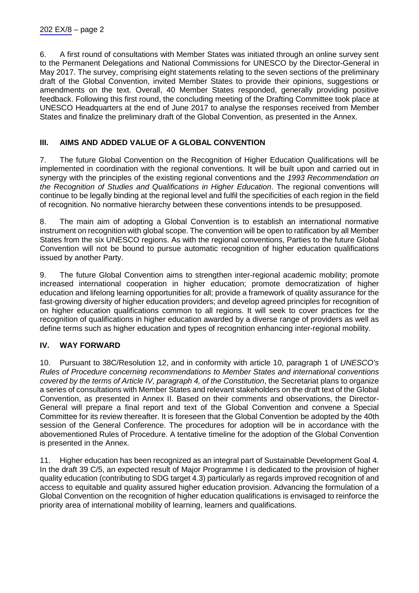6. A first round of consultations with Member States was initiated through an online survey sent to the Permanent Delegations and National Commissions for UNESCO by the Director-General in May 2017. The survey, comprising eight statements relating to the seven sections of the preliminary draft of the Global Convention, invited Member States to provide their opinions, suggestions or amendments on the text. Overall, 40 Member States responded, generally providing positive feedback. Following this first round, the concluding meeting of the Drafting Committee took place at UNESCO Headquarters at the end of June 2017 to analyse the responses received from Member States and finalize the preliminary draft of the Global Convention, as presented in the Annex.

# **III. AIMS AND ADDED VALUE OF A GLOBAL CONVENTION**

7. The future Global Convention on the Recognition of Higher Education Qualifications will be implemented in coordination with the regional conventions. It will be built upon and carried out in synergy with the principles of the existing regional conventions and the *1993 Recommendation on the Recognition of Studies and Qualifications in Higher Education*. The regional conventions will continue to be legally binding at the regional level and fulfil the specificities of each region in the field of recognition. No normative hierarchy between these conventions intends to be presupposed.

8. The main aim of adopting a Global Convention is to establish an international normative instrument on recognition with global scope. The convention will be open to ratification by all Member States from the six UNESCO regions. As with the regional conventions, Parties to the future Global Convention will not be bound to pursue automatic recognition of higher education qualifications issued by another Party.

9. The future Global Convention aims to strengthen inter-regional academic mobility; promote increased international cooperation in higher education; promote democratization of higher education and lifelong learning opportunities for all; provide a framework of quality assurance for the fast-growing diversity of higher education providers; and develop agreed principles for recognition of on higher education qualifications common to all regions. It will seek to cover practices for the recognition of qualifications in higher education awarded by a diverse range of providers as well as define terms such as higher education and types of recognition enhancing inter-regional mobility.

# **IV. WAY FORWARD**

10. Pursuant to 38C/Resolution 12, and in conformity with article 10, paragraph 1 of *UNESCO's Rules of Procedure concerning recommendations to Member States and international conventions covered by the terms of Article IV, paragraph 4, of the Constitution*, the Secretariat plans to organize a series of consultations with Member States and relevant stakeholders on the draft text of the Global Convention, as presented in Annex II. Based on their comments and observations, the Director-General will prepare a final report and text of the Global Convention and convene a Special Committee for its review thereafter. It is foreseen that the Global Convention be adopted by the 40th session of the General Conference. The procedures for adoption will be in accordance with the abovementioned Rules of Procedure. A tentative timeline for the adoption of the Global Convention is presented in the Annex.

11. Higher education has been recognized as an integral part of Sustainable Development Goal 4. In the draft 39 C/5, an expected result of Major Programme I is dedicated to the provision of higher quality education (contributing to SDG target 4.3) particularly as regards improved recognition of and access to equitable and quality assured higher education provision. Advancing the formulation of a Global Convention on the recognition of higher education qualifications is envisaged to reinforce the priority area of international mobility of learning, learners and qualifications.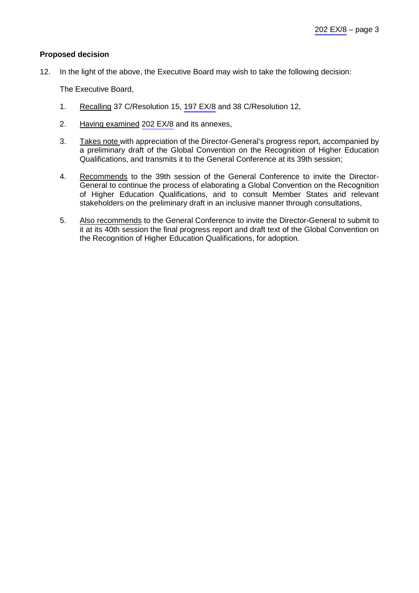## **Proposed decision**

12. In the light of the above, the Executive Board may wish to take the following decision:

The Executive Board,

- 1. Recalling 37 C/Resolution 15, 197 EX/8 and 38 C/Resolution 12,
- 2. Having examined 202 EX/8 and its annexes,
- 3. Takes note with appreciation of the Director-General's progress report, accompanied by a preliminary draft of the Global Convention on the Recognition of Higher Education Qualifications, and transmits it to the General Conference at its 39th session;
- 4. Recommends to the 39th session of the General Conference to invite the Director-General to continue the process of elaborating a Global Convention on the Recognition of Higher Education Qualifications, and to consult Member States and relevant stakeholders on the preliminary draft in an inclusive manner through consultations,
- 5. Also recommends to the General Conference to invite the Director-General to submit to it at its 40th session the final progress report and draft text of the Global Convention on the Recognition of Higher Education Qualifications, for adoption.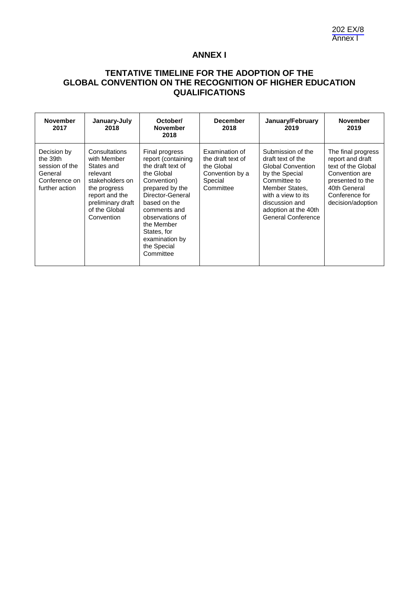# **ANNEX I**

# **TENTATIVE TIMELINE FOR THE ADOPTION OF THE GLOBAL CONVENTION ON THE RECOGNITION OF HIGHER EDUCATION QUALIFICATIONS**

| <b>November</b><br>2017                                                                 | January-July<br>2018                                                                                                                                            | October/<br><b>November</b><br>2018                                                                                                                                                                                                                         | <b>December</b><br>2018                                                                      | January/February<br>2019                                                                                                                                                                                            | <b>November</b><br>2019                                                                                                                                   |
|-----------------------------------------------------------------------------------------|-----------------------------------------------------------------------------------------------------------------------------------------------------------------|-------------------------------------------------------------------------------------------------------------------------------------------------------------------------------------------------------------------------------------------------------------|----------------------------------------------------------------------------------------------|---------------------------------------------------------------------------------------------------------------------------------------------------------------------------------------------------------------------|-----------------------------------------------------------------------------------------------------------------------------------------------------------|
| Decision by<br>the 39th<br>session of the<br>General<br>Conference on<br>further action | Consultations<br>with Member<br>States and<br>relevant<br>stakeholders on<br>the progress<br>report and the<br>preliminary draft<br>of the Global<br>Convention | Final progress<br>report (containing<br>the draft text of<br>the Global<br>Convention)<br>prepared by the<br>Director-General<br>based on the<br>comments and<br>observations of<br>the Member<br>States, for<br>examination by<br>the Special<br>Committee | Examination of<br>the draft text of<br>the Global<br>Convention by a<br>Special<br>Committee | Submission of the<br>draft text of the<br><b>Global Convention</b><br>by the Special<br>Committee to<br>Member States,<br>with a view to its<br>discussion and<br>adoption at the 40th<br><b>General Conference</b> | The final progress<br>report and draft<br>text of the Global<br>Convention are<br>presented to the<br>40th General<br>Conference for<br>decision/adoption |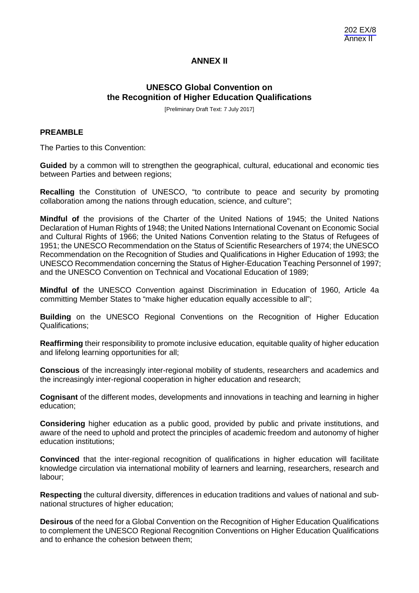# **ANNEX II**

# **UNESCO Global Convention on the Recognition of Higher Education Qualifications**

[Preliminary Draft Text: 7 July 2017]

#### **PREAMBLE**

The Parties to this Convention:

**Guided** by a common will to strengthen the geographical, cultural, educational and economic ties between Parties and between regions;

**Recalling** the Constitution of UNESCO, "to contribute to peace and security by promoting collaboration among the nations through education, science, and culture";

**Mindful of** the provisions of the Charter of the United Nations of 1945; the United Nations Declaration of Human Rights of 1948; the United Nations International Covenant on Economic Social and Cultural Rights of 1966; the United Nations Convention relating to the Status of Refugees of 1951; the UNESCO Recommendation on the Status of Scientific Researchers of 1974; the UNESCO Recommendation on the Recognition of Studies and Qualifications in Higher Education of 1993; the UNESCO Recommendation concerning the Status of Higher-Education Teaching Personnel of 1997; and the UNESCO Convention on Technical and Vocational Education of 1989;

**Mindful of** the UNESCO Convention against Discrimination in Education of 1960, Article 4a committing Member States to "make higher education equally accessible to all";

**Building** on the UNESCO Regional Conventions on the Recognition of Higher Education Qualifications;

**Reaffirming** their responsibility to promote inclusive education, equitable quality of higher education and lifelong learning opportunities for all;

**Conscious** of the increasingly inter-regional mobility of students, researchers and academics and the increasingly inter-regional cooperation in higher education and research;

**Cognisant** of the different modes, developments and innovations in teaching and learning in higher education;

**Considering** higher education as a public good, provided by public and private institutions, and aware of the need to uphold and protect the principles of academic freedom and autonomy of higher education institutions;

**Convinced** that the inter-regional recognition of qualifications in higher education will facilitate knowledge circulation via international mobility of learners and learning, researchers, research and labour;

**Respecting** the cultural diversity, differences in education traditions and values of national and subnational structures of higher education;

**Desirous** of the need for a Global Convention on the Recognition of Higher Education Qualifications to complement the UNESCO Regional Recognition Conventions on Higher Education Qualifications and to enhance the cohesion between them;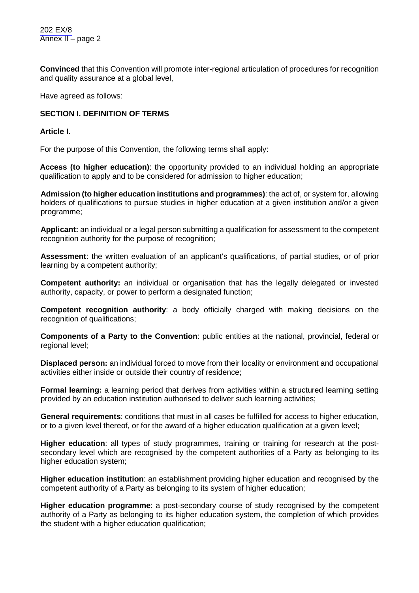202 EX/8 Annex II – page 2

**Convinced** that this Convention will promote inter-regional articulation of procedures for recognition and quality assurance at a global level,

Have agreed as follows:

# **SECTION I. DEFINITION OF TERMS**

**Article I.**

For the purpose of this Convention, the following terms shall apply:

**Access (to higher education)**: the opportunity provided to an individual holding an appropriate qualification to apply and to be considered for admission to higher education;

**Admission (to higher education institutions and programmes)**: the act of, or system for, allowing holders of qualifications to pursue studies in higher education at a given institution and/or a given programme;

**Applicant:** an individual or a legal person submitting a qualification for assessment to the competent recognition authority for the purpose of recognition;

**Assessment**: the written evaluation of an applicant's qualifications, of partial studies, or of prior learning by a competent authority;

**Competent authority:** an individual or organisation that has the legally delegated or invested authority, capacity, or power to perform a designated function;

**Competent recognition authority**: a body officially charged with making decisions on the recognition of qualifications;

**Components of a Party to the Convention**: public entities at the national, provincial, federal or regional level;

**Displaced person:** an individual forced to move from their locality or environment and occupational activities either inside or outside their country of residence;

**Formal learning:** a learning period that derives from activities within a structured learning setting provided by an education institution authorised to deliver such learning activities;

**General requirements**: conditions that must in all cases be fulfilled for access to higher education, or to a given level thereof, or for the award of a higher education qualification at a given level;

**Higher education**: all types of study programmes, training or training for research at the postsecondary level which are recognised by the competent authorities of a Party as belonging to its higher education system;

**Higher education institution**: an establishment providing higher education and recognised by the competent authority of a Party as belonging to its system of higher education;

**Higher education programme**: a post-secondary course of study recognised by the competent authority of a Party as belonging to its higher education system, the completion of which provides the student with a higher education qualification;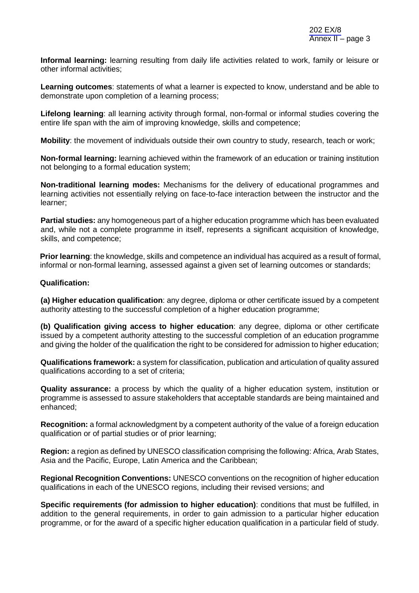**Informal learning:** learning resulting from daily life activities related to work, family or leisure or other informal activities;

**Learning outcomes**: statements of what a learner is expected to know, understand and be able to demonstrate upon completion of a learning process;

**Lifelong learning**: all learning activity through formal, non-formal or informal studies covering the entire life span with the aim of improving knowledge, skills and competence;

**Mobility**: the movement of individuals outside their own country to study, research, teach or work;

**Non-formal learning:** learning achieved within the framework of an education or training institution not belonging to a formal education system;

**Non-traditional learning modes:** Mechanisms for the delivery of educational programmes and learning activities not essentially relying on face-to-face interaction between the instructor and the learner;

**Partial studies:** any homogeneous part of a higher education programme which has been evaluated and, while not a complete programme in itself, represents a significant acquisition of knowledge, skills, and competence;

**Prior learning**: the knowledge, skills and competence an individual has acquired as a result of formal, informal or non-formal learning, assessed against a given set of learning outcomes or standards;

#### **Qualification:**

**(a) Higher education qualification**: any degree, diploma or other certificate issued by a competent authority attesting to the successful completion of a higher education programme;

**(b) Qualification giving access to higher education**: any degree, diploma or other certificate issued by a competent authority attesting to the successful completion of an education programme and giving the holder of the qualification the right to be considered for admission to higher education;

**Qualifications framework:** a system for classification, publication and articulation of quality assured qualifications according to a set of criteria;

**Quality assurance:** a process by which the quality of a higher education system, institution or programme is assessed to assure stakeholders that acceptable standards are being maintained and enhanced;

**Recognition:** a formal acknowledgment by a competent authority of the value of a foreign education qualification or of partial studies or of prior learning;

**Region:** a region as defined by UNESCO classification comprising the following: Africa, Arab States, Asia and the Pacific, Europe, Latin America and the Caribbean;

**Regional Recognition Conventions:** UNESCO conventions on the recognition of higher education qualifications in each of the UNESCO regions, including their revised versions; and

**Specific requirements (for admission to higher education)**: conditions that must be fulfilled, in addition to the general requirements, in order to gain admission to a particular higher education programme, or for the award of a specific higher education qualification in a particular field of study.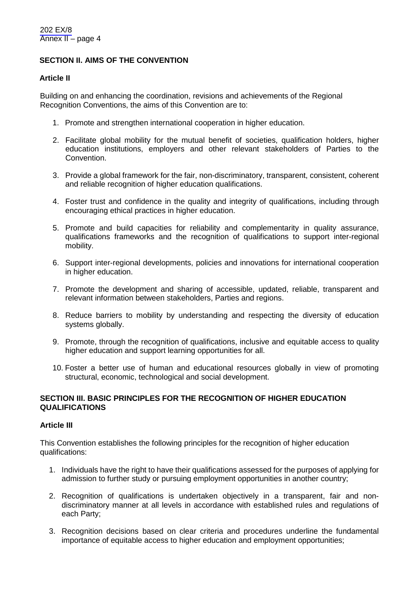# **SECTION II. AIMS OF THE CONVENTION**

## **Article II**

Building on and enhancing the coordination, revisions and achievements of the Regional Recognition Conventions, the aims of this Convention are to:

- 1. Promote and strengthen international cooperation in higher education.
- 2. Facilitate global mobility for the mutual benefit of societies, qualification holders, higher education institutions, employers and other relevant stakeholders of Parties to the Convention.
- 3. Provide a global framework for the fair, non-discriminatory, transparent, consistent, coherent and reliable recognition of higher education qualifications.
- 4. Foster trust and confidence in the quality and integrity of qualifications, including through encouraging ethical practices in higher education.
- 5. Promote and build capacities for reliability and complementarity in quality assurance, qualifications frameworks and the recognition of qualifications to support inter-regional mobility.
- 6. Support inter-regional developments, policies and innovations for international cooperation in higher education.
- 7. Promote the development and sharing of accessible, updated, reliable, transparent and relevant information between stakeholders, Parties and regions.
- 8. Reduce barriers to mobility by understanding and respecting the diversity of education systems globally.
- 9. Promote, through the recognition of qualifications, inclusive and equitable access to quality higher education and support learning opportunities for all.
- 10. Foster a better use of human and educational resources globally in view of promoting structural, economic, technological and social development.

# **SECTION III. BASIC PRINCIPLES FOR THE RECOGNITION OF HIGHER EDUCATION QUALIFICATIONS**

## **Article III**

This Convention establishes the following principles for the recognition of higher education qualifications:

- 1. Individuals have the right to have their qualifications assessed for the purposes of applying for admission to further study or pursuing employment opportunities in another country;
- 2. Recognition of qualifications is undertaken objectively in a transparent, fair and nondiscriminatory manner at all levels in accordance with established rules and regulations of each Party;
- 3. Recognition decisions based on clear criteria and procedures underline the fundamental importance of equitable access to higher education and employment opportunities;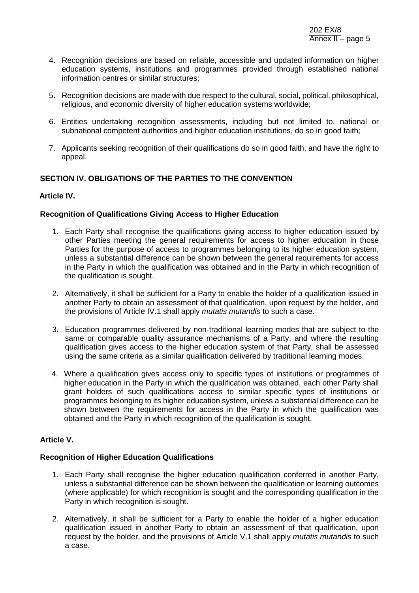- 4. Recognition decisions are based on reliable, accessible and updated information on higher education systems, institutions and programmes provided through established national information centres or similar structures;
- 5. Recognition decisions are made with due respect to the cultural, social, political, philosophical, religious, and economic diversity of higher education systems worldwide;
- 6. Entities undertaking recognition assessments, including but not limited to, national or subnational competent authorities and higher education institutions, do so in good faith;
- 7. Applicants seeking recognition of their qualifications do so in good faith, and have the right to appeal.

# **SECTION IV. OBLIGATIONS OF THE PARTIES TO THE CONVENTION**

## **Article IV.**

#### **Recognition of Qualifications Giving Access to Higher Education**

- 1. Each Party shall recognise the qualifications giving access to higher education issued by other Parties meeting the general requirements for access to higher education in those Parties for the purpose of access to programmes belonging to its higher education system, unless a substantial difference can be shown between the general requirements for access in the Party in which the qualification was obtained and in the Party in which recognition of the qualification is sought.
- 2. Alternatively, it shall be sufficient for a Party to enable the holder of a qualification issued in another Party to obtain an assessment of that qualification, upon request by the holder, and the provisions of Article IV.1 shall apply *mutatis mutandis* to such a case.
- 3. Education programmes delivered by non-traditional learning modes that are subject to the same or comparable quality assurance mechanisms of a Party, and where the resulting qualification gives access to the higher education system of that Party, shall be assessed using the same criteria as a similar qualification delivered by traditional learning modes.
- 4. Where a qualification gives access only to specific types of institutions or programmes of higher education in the Party in which the qualification was obtained, each other Party shall grant holders of such qualifications access to similar specific types of institutions or programmes belonging to its higher education system, unless a substantial difference can be shown between the requirements for access in the Party in which the qualification was obtained and the Party in which recognition of the qualification is sought.

## **Article V.**

## **Recognition of Higher Education Qualifications**

- 1. Each Party shall recognise the higher education qualification conferred in another Party, unless a substantial difference can be shown between the qualification or learning outcomes (where applicable) for which recognition is sought and the corresponding qualification in the Party in which recognition is sought.
- 2. Alternatively, it shall be sufficient for a Party to enable the holder of a higher education qualification issued in another Party to obtain an assessment of that qualification, upon request by the holder, and the provisions of Article V.1 shall apply *mutatis mutandis* to such a case.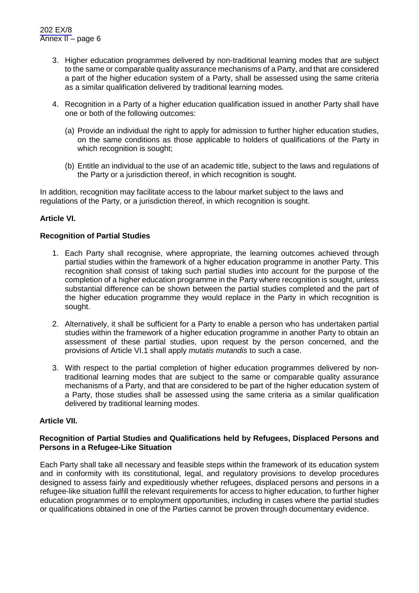- 3. Higher education programmes delivered by non-traditional learning modes that are subject to the same or comparable quality assurance mechanisms of a Party, and that are considered a part of the higher education system of a Party, shall be assessed using the same criteria as a similar qualification delivered by traditional learning modes.
- 4. Recognition in a Party of a higher education qualification issued in another Party shall have one or both of the following outcomes:
	- (a) Provide an individual the right to apply for admission to further higher education studies, on the same conditions as those applicable to holders of qualifications of the Party in which recognition is sought;
	- (b) Entitle an individual to the use of an academic title, subject to the laws and regulations of the Party or a jurisdiction thereof, in which recognition is sought.

In addition, recognition may facilitate access to the labour market subject to the laws and regulations of the Party, or a jurisdiction thereof, in which recognition is sought.

# **Article VI.**

## **Recognition of Partial Studies**

- 1. Each Party shall recognise, where appropriate, the learning outcomes achieved through partial studies within the framework of a higher education programme in another Party. This recognition shall consist of taking such partial studies into account for the purpose of the completion of a higher education programme in the Party where recognition is sought, unless substantial difference can be shown between the partial studies completed and the part of the higher education programme they would replace in the Party in which recognition is sought.
- 2. Alternatively, it shall be sufficient for a Party to enable a person who has undertaken partial studies within the framework of a higher education programme in another Party to obtain an assessment of these partial studies, upon request by the person concerned, and the provisions of Article VI.1 shall apply *mutatis mutandis* to such a case.
- 3. With respect to the partial completion of higher education programmes delivered by nontraditional learning modes that are subject to the same or comparable quality assurance mechanisms of a Party, and that are considered to be part of the higher education system of a Party, those studies shall be assessed using the same criteria as a similar qualification delivered by traditional learning modes.

#### **Article VII.**

## **Recognition of Partial Studies and Qualifications held by Refugees, Displaced Persons and Persons in a Refugee-Like Situation**

Each Party shall take all necessary and feasible steps within the framework of its education system and in conformity with its constitutional, legal, and regulatory provisions to develop procedures designed to assess fairly and expeditiously whether refugees, displaced persons and persons in a refugee-like situation fulfill the relevant requirements for access to higher education, to further higher education programmes or to employment opportunities, including in cases where the partial studies or qualifications obtained in one of the Parties cannot be proven through documentary evidence.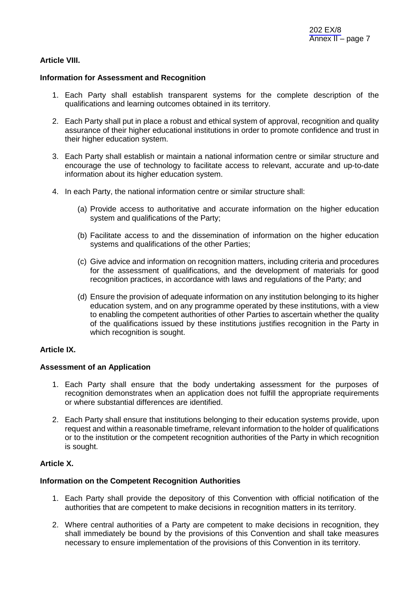#### **Article VIII.**

#### **Information for Assessment and Recognition**

- 1. Each Party shall establish transparent systems for the complete description of the qualifications and learning outcomes obtained in its territory.
- 2. Each Party shall put in place a robust and ethical system of approval, recognition and quality assurance of their higher educational institutions in order to promote confidence and trust in their higher education system.
- 3. Each Party shall establish or maintain a national information centre or similar structure and encourage the use of technology to facilitate access to relevant, accurate and up-to-date information about its higher education system.
- 4. In each Party, the national information centre or similar structure shall:
	- (a) Provide access to authoritative and accurate information on the higher education system and qualifications of the Party;
	- (b) Facilitate access to and the dissemination of information on the higher education systems and qualifications of the other Parties;
	- (c) Give advice and information on recognition matters, including criteria and procedures for the assessment of qualifications, and the development of materials for good recognition practices, in accordance with laws and regulations of the Party; and
	- (d) Ensure the provision of adequate information on any institution belonging to its higher education system, and on any programme operated by these institutions, with a view to enabling the competent authorities of other Parties to ascertain whether the quality of the qualifications issued by these institutions justifies recognition in the Party in which recognition is sought.

## **Article IX.**

## **Assessment of an Application**

- 1. Each Party shall ensure that the body undertaking assessment for the purposes of recognition demonstrates when an application does not fulfill the appropriate requirements or where substantial differences are identified.
- 2. Each Party shall ensure that institutions belonging to their education systems provide, upon request and within a reasonable timeframe, relevant information to the holder of qualifications or to the institution or the competent recognition authorities of the Party in which recognition is sought.

# **Article X.**

#### **Information on the Competent Recognition Authorities**

- 1. Each Party shall provide the depository of this Convention with official notification of the authorities that are competent to make decisions in recognition matters in its territory.
- 2. Where central authorities of a Party are competent to make decisions in recognition, they shall immediately be bound by the provisions of this Convention and shall take measures necessary to ensure implementation of the provisions of this Convention in its territory.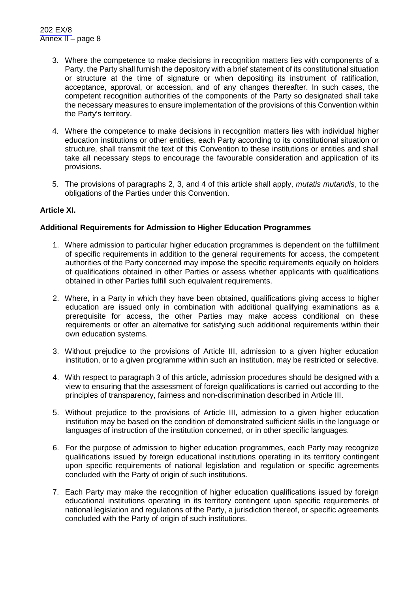- 3. Where the competence to make decisions in recognition matters lies with components of a Party, the Party shall furnish the depository with a brief statement of its constitutional situation or structure at the time of signature or when depositing its instrument of ratification, acceptance, approval, or accession, and of any changes thereafter. In such cases, the competent recognition authorities of the components of the Party so designated shall take the necessary measures to ensure implementation of the provisions of this Convention within the Party's territory.
- 4. Where the competence to make decisions in recognition matters lies with individual higher education institutions or other entities, each Party according to its constitutional situation or structure, shall transmit the text of this Convention to these institutions or entities and shall take all necessary steps to encourage the favourable consideration and application of its provisions.
- 5. The provisions of paragraphs 2, 3, and 4 of this article shall apply, *mutatis mutandis*, to the obligations of the Parties under this Convention.

## **Article XI.**

#### **Additional Requirements for Admission to Higher Education Programmes**

- 1. Where admission to particular higher education programmes is dependent on the fulfillment of specific requirements in addition to the general requirements for access, the competent authorities of the Party concerned may impose the specific requirements equally on holders of qualifications obtained in other Parties or assess whether applicants with qualifications obtained in other Parties fulfill such equivalent requirements.
- 2. Where, in a Party in which they have been obtained, qualifications giving access to higher education are issued only in combination with additional qualifying examinations as a prerequisite for access, the other Parties may make access conditional on these requirements or offer an alternative for satisfying such additional requirements within their own education systems.
- 3. Without prejudice to the provisions of Article III, admission to a given higher education institution, or to a given programme within such an institution, may be restricted or selective.
- 4. With respect to paragraph 3 of this article, admission procedures should be designed with a view to ensuring that the assessment of foreign qualifications is carried out according to the principles of transparency, fairness and non-discrimination described in Article III.
- 5. Without prejudice to the provisions of Article III, admission to a given higher education institution may be based on the condition of demonstrated sufficient skills in the language or languages of instruction of the institution concerned, or in other specific languages.
- 6. For the purpose of admission to higher education programmes, each Party may recognize qualifications issued by foreign educational institutions operating in its territory contingent upon specific requirements of national legislation and regulation or specific agreements concluded with the Party of origin of such institutions.
- 7. Each Party may make the recognition of higher education qualifications issued by foreign educational institutions operating in its territory contingent upon specific requirements of national legislation and regulations of the Party, a jurisdiction thereof, or specific agreements concluded with the Party of origin of such institutions.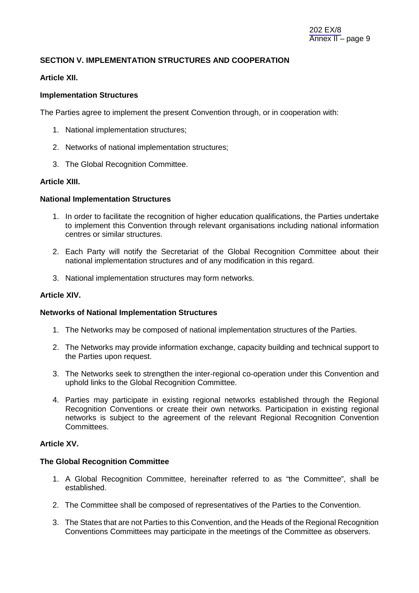# **SECTION V. IMPLEMENTATION STRUCTURES AND COOPERATION**

#### **Article XII.**

### **Implementation Structures**

The Parties agree to implement the present Convention through, or in cooperation with:

- 1. National implementation structures;
- 2. Networks of national implementation structures;
- 3. The Global Recognition Committee.

# **Article XIII.**

#### **National Implementation Structures**

- 1. In order to facilitate the recognition of higher education qualifications, the Parties undertake to implement this Convention through relevant organisations including national information centres or similar structures.
- 2. Each Party will notify the Secretariat of the Global Recognition Committee about their national implementation structures and of any modification in this regard.
- 3. National implementation structures may form networks.

#### **Article XIV.**

#### **Networks of National Implementation Structures**

- 1. The Networks may be composed of national implementation structures of the Parties.
- 2. The Networks may provide information exchange, capacity building and technical support to the Parties upon request.
- 3. The Networks seek to strengthen the inter-regional co-operation under this Convention and uphold links to the Global Recognition Committee.
- 4. Parties may participate in existing regional networks established through the Regional Recognition Conventions or create their own networks. Participation in existing regional networks is subject to the agreement of the relevant Regional Recognition Convention Committees.

## **Article XV.**

#### **The Global Recognition Committee**

- 1. A Global Recognition Committee, hereinafter referred to as "the Committee", shall be established.
- 2. The Committee shall be composed of representatives of the Parties to the Convention.
- 3. The States that are not Parties to this Convention, and the Heads of the Regional Recognition Conventions Committees may participate in the meetings of the Committee as observers.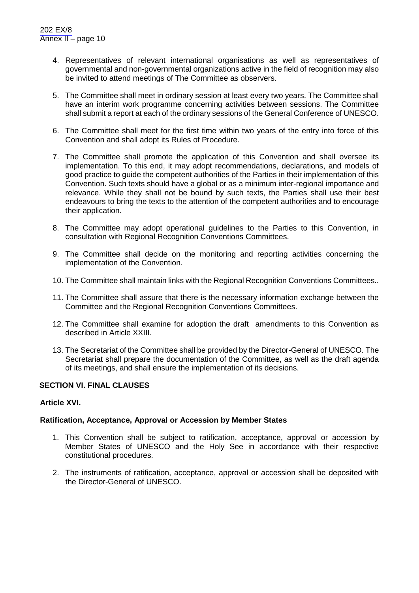- 4. Representatives of relevant international organisations as well as representatives of governmental and non-governmental organizations active in the field of recognition may also be invited to attend meetings of The Committee as observers.
- 5. The Committee shall meet in ordinary session at least every two years. The Committee shall have an interim work programme concerning activities between sessions. The Committee shall submit a report at each of the ordinary sessions of the General Conference of UNESCO.
- 6. The Committee shall meet for the first time within two years of the entry into force of this Convention and shall adopt its Rules of Procedure.
- 7. The Committee shall promote the application of this Convention and shall oversee its implementation. To this end, it may adopt recommendations, declarations, and models of good practice to guide the competent authorities of the Parties in their implementation of this Convention. Such texts should have a global or as a minimum inter-regional importance and relevance. While they shall not be bound by such texts, the Parties shall use their best endeavours to bring the texts to the attention of the competent authorities and to encourage their application.
- 8. The Committee may adopt operational guidelines to the Parties to this Convention, in consultation with Regional Recognition Conventions Committees.
- 9. The Committee shall decide on the monitoring and reporting activities concerning the implementation of the Convention.
- 10. The Committee shall maintain links with the Regional Recognition Conventions Committees..
- 11. The Committee shall assure that there is the necessary information exchange between the Committee and the Regional Recognition Conventions Committees.
- 12. The Committee shall examine for adoption the draft amendments to this Convention as described in Article XXIII.
- 13. The Secretariat of the Committee shall be provided by the Director-General of UNESCO. The Secretariat shall prepare the documentation of the Committee, as well as the draft agenda of its meetings, and shall ensure the implementation of its decisions.

## **SECTION VI. FINAL CLAUSES**

#### **Article XVI.**

## **Ratification, Acceptance, Approval or Accession by Member States**

- 1. This Convention shall be subject to ratification, acceptance, approval or accession by Member States of UNESCO and the Holy See in accordance with their respective constitutional procedures.
- 2. The instruments of ratification, acceptance, approval or accession shall be deposited with the Director-General of UNESCO.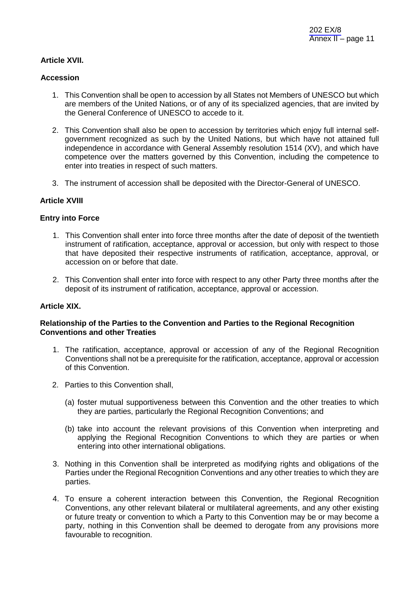### **Article XVII.**

#### **Accession**

- 1. This Convention shall be open to accession by all States not Members of UNESCO but which are members of the United Nations, or of any of its specialized agencies, that are invited by the General Conference of UNESCO to accede to it.
- 2. This Convention shall also be open to accession by territories which enjoy full internal selfgovernment recognized as such by the United Nations, but which have not attained full independence in accordance with General Assembly resolution 1514 (XV), and which have competence over the matters governed by this Convention, including the competence to enter into treaties in respect of such matters.
- 3. The instrument of accession shall be deposited with the Director-General of UNESCO.

#### **Article XVIII**

#### **Entry into Force**

- 1. This Convention shall enter into force three months after the date of deposit of the twentieth instrument of ratification, acceptance, approval or accession, but only with respect to those that have deposited their respective instruments of ratification, acceptance, approval, or accession on or before that date.
- 2. This Convention shall enter into force with respect to any other Party three months after the deposit of its instrument of ratification, acceptance, approval or accession.

#### **Article XIX.**

## **Relationship of the Parties to the Convention and Parties to the Regional Recognition Conventions and other Treaties**

- 1. The ratification, acceptance, approval or accession of any of the Regional Recognition Conventions shall not be a prerequisite for the ratification, acceptance, approval or accession of this Convention.
- 2. Parties to this Convention shall,
	- (a) foster mutual supportiveness between this Convention and the other treaties to which they are parties, particularly the Regional Recognition Conventions; and
	- (b) take into account the relevant provisions of this Convention when interpreting and applying the Regional Recognition Conventions to which they are parties or when entering into other international obligations.
- 3. Nothing in this Convention shall be interpreted as modifying rights and obligations of the Parties under the Regional Recognition Conventions and any other treaties to which they are parties.
- 4. To ensure a coherent interaction between this Convention, the Regional Recognition Conventions, any other relevant bilateral or multilateral agreements, and any other existing or future treaty or convention to which a Party to this Convention may be or may become a party, nothing in this Convention shall be deemed to derogate from any provisions more favourable to recognition.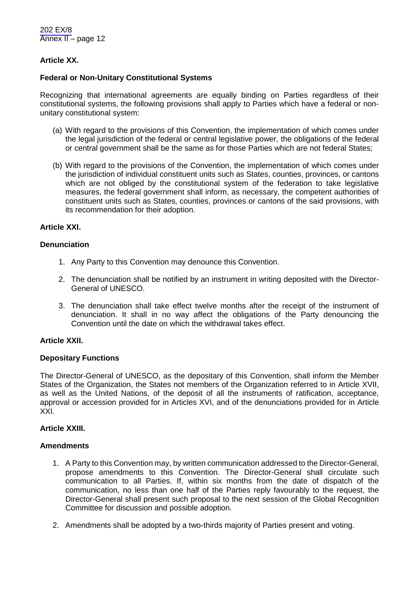# **Article XX.**

### **Federal or Non-Unitary Constitutional Systems**

Recognizing that international agreements are equally binding on Parties regardless of their constitutional systems, the following provisions shall apply to Parties which have a federal or nonunitary constitutional system:

- (a) With regard to the provisions of this Convention, the implementation of which comes under the legal jurisdiction of the federal or central legislative power, the obligations of the federal or central government shall be the same as for those Parties which are not federal States;
- (b) With regard to the provisions of the Convention, the implementation of which comes under the jurisdiction of individual constituent units such as States, counties, provinces, or cantons which are not obliged by the constitutional system of the federation to take legislative measures, the federal government shall inform, as necessary, the competent authorities of constituent units such as States, counties, provinces or cantons of the said provisions, with its recommendation for their adoption.

#### **Article XXI.**

### **Denunciation**

- 1. Any Party to this Convention may denounce this Convention.
- 2. The denunciation shall be notified by an instrument in writing deposited with the Director-General of UNESCO.
- 3. The denunciation shall take effect twelve months after the receipt of the instrument of denunciation. It shall in no way affect the obligations of the Party denouncing the Convention until the date on which the withdrawal takes effect.

#### **Article XXII.**

#### **Depositary Functions**

The Director-General of UNESCO, as the depositary of this Convention, shall inform the Member States of the Organization, the States not members of the Organization referred to in Article XVII, as well as the United Nations, of the deposit of all the instruments of ratification, acceptance, approval or accession provided for in Articles XVI, and of the denunciations provided for in Article XXI.

# **Article XXIII.**

#### **Amendments**

- 1. A Party to this Convention may, by written communication addressed to the Director-General, propose amendments to this Convention. The Director-General shall circulate such communication to all Parties. If, within six months from the date of dispatch of the communication, no less than one half of the Parties reply favourably to the request, the Director-General shall present such proposal to the next session of the Global Recognition Committee for discussion and possible adoption.
- 2. Amendments shall be adopted by a two-thirds majority of Parties present and voting.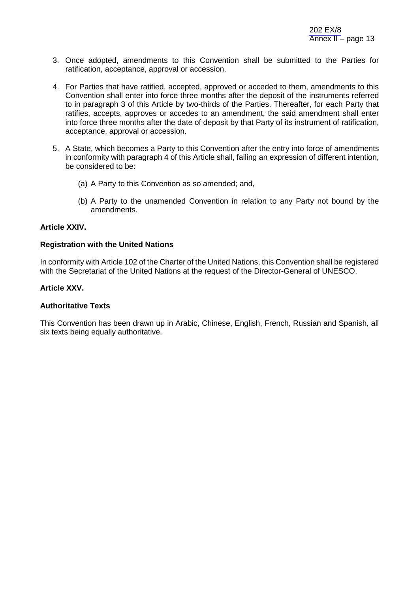- 3. Once adopted, amendments to this Convention shall be submitted to the Parties for ratification, acceptance, approval or accession.
- 4. For Parties that have ratified, accepted, approved or acceded to them, amendments to this Convention shall enter into force three months after the deposit of the instruments referred to in paragraph 3 of this Article by two-thirds of the Parties. Thereafter, for each Party that ratifies, accepts, approves or accedes to an amendment, the said amendment shall enter into force three months after the date of deposit by that Party of its instrument of ratification, acceptance, approval or accession.
- 5. A State, which becomes a Party to this Convention after the entry into force of amendments in conformity with paragraph 4 of this Article shall, failing an expression of different intention, be considered to be:
	- (a) A Party to this Convention as so amended; and,
	- (b) A Party to the unamended Convention in relation to any Party not bound by the amendments.

#### **Article XXIV.**

#### **Registration with the United Nations**

In conformity with Article 102 of the Charter of the United Nations, this Convention shall be registered with the Secretariat of the United Nations at the request of the Director-General of UNESCO.

#### **Article XXV.**

#### **Authoritative Texts**

This Convention has been drawn up in Arabic, Chinese, English, French, Russian and Spanish, all six texts being equally authoritative.